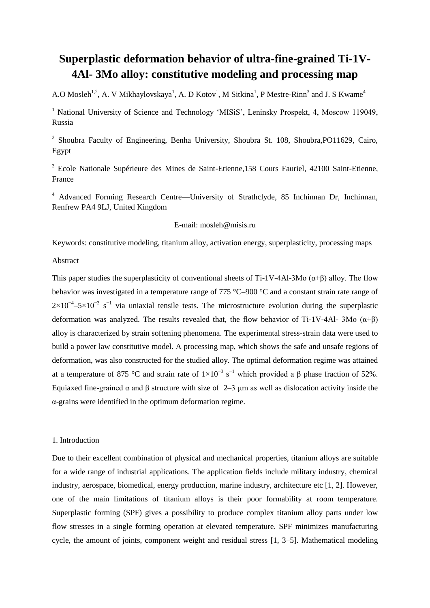# **Superplastic deformation behavior of ultra-fine-grained Ti-1V-4Al- 3Mo alloy: constitutive modeling and processing map**

A.O Mosleh<sup>1,2</sup>, A. V Mikhaylovskaya<sup>1</sup>, A. D Kotov<sup>1</sup>, M Sitkina<sup>1</sup>, P Mestre-Rinn<sup>3</sup> and J. S Kwame<sup>4</sup>

<sup>1</sup> National University of Science and Technology 'MISiS', Leninsky Prospekt, 4, Moscow 119049, Russia

<sup>2</sup> Shoubra Faculty of Engineering, Benha University, Shoubra St. 108, Shoubra, PO11629, Cairo, Egypt

<sup>3</sup> Ecole Nationale Supérieure des Mines de Saint-Etienne, 158 Cours Fauriel, 42100 Saint-Etienne, France

<sup>4</sup> Advanced Forming Research Centre—University of Strathclyde, 85 Inchinnan Dr, Inchinnan, Renfrew PA4 9LJ, United Kingdom

# E-mail: mosleh@misis.ru

Keywords: constitutive modeling, titanium alloy, activation energy, superplasticity, processing maps

Abstract

This paper studies the superplasticity of conventional sheets of Ti-1V-4Al-3Mo  $(\alpha + \beta)$  alloy. The flow behavior was investigated in a temperature range of 775 °C–900 °C and a constant strain rate range of  $2\times10^{-4}$ -5×10<sup>-3</sup> s<sup>-1</sup> via uniaxial tensile tests. The microstructure evolution during the superplastic deformation was analyzed. The results revealed that, the flow behavior of Ti-1V-4Al- 3Mo  $(\alpha + \beta)$ alloy is characterized by strain softening phenomena. The experimental stress-strain data were used to build a power law constitutive model. A processing map, which shows the safe and unsafe regions of deformation, was also constructed for the studied alloy. The optimal deformation regime was attained at a temperature of 875 °C and strain rate of  $1 \times 10^{-3}$  s<sup>-1</sup> which provided a β phase fraction of 52%. Equiaxed fine-grained α and β structure with size of 2–3 μm as well as dislocation activity inside the α-grains were identified in the optimum deformation regime.

1. Introduction

Due to their excellent combination of physical and mechanical properties, titanium alloys are suitable for a wide range of industrial applications. The application fields include military industry, chemical industry, aerospace, biomedical, energy production, marine industry, architecture etc [1, 2]. However, one of the main limitations of titanium alloys is their poor formability at room temperature. Superplastic forming (SPF) gives a possibility to produce complex titanium alloy parts under low flow stresses in a single forming operation at elevated temperature. SPF minimizes manufacturing cycle, the amount of joints, component weight and residual stress [1, 3–5]. Mathematical modeling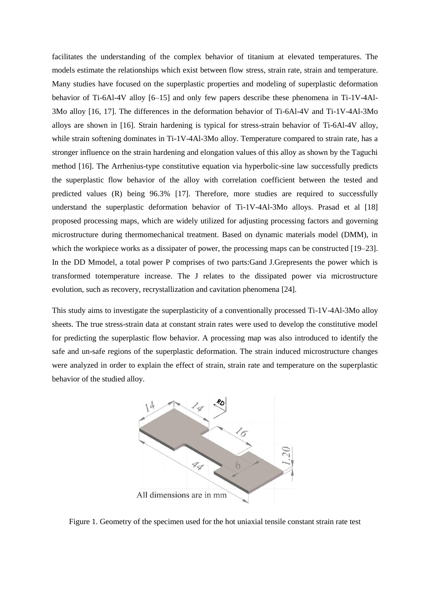facilitates the understanding of the complex behavior of titanium at elevated temperatures. The models estimate the relationships which exist between flow stress, strain rate, strain and temperature. Many studies have focused on the superplastic properties and modeling of superplastic deformation behavior of Ti-6Al-4V alloy [6–15] and only few papers describe these phenomena in Ti-1V-4Al-3Mo alloy [16, 17]. The differences in the deformation behavior of Ti-6Al-4V and Ti-1V-4Al-3Mo alloys are shown in [16]. Strain hardening is typical for stress-strain behavior of Ti-6Al-4V alloy, while strain softening dominates in Ti-1V-4Al-3Mo alloy. Temperature compared to strain rate, has a stronger influence on the strain hardening and elongation values of this alloy as shown by the Taguchi method [16]. The Arrhenius-type constitutive equation via hyperbolic-sine law successfully predicts the superplastic flow behavior of the alloy with correlation coefficient between the tested and predicted values (R) being 96.3% [17]. Therefore, more studies are required to successfully understand the superplastic deformation behavior of Ti-1V-4Al-3Mo alloys. Prasad et al [18] proposed processing maps, which are widely utilized for adjusting processing factors and governing microstructure during thermomechanical treatment. Based on dynamic materials model (DMM), in which the workpiece works as a dissipater of power, the processing maps can be constructed [19–23]. In the DD Mmodel, a total power P comprises of two parts:Gand J.Grepresents the power which is transformed totemperature increase. The J relates to the dissipated power via microstructure evolution, such as recovery, recrystallization and cavitation phenomena [24].

This study aims to investigate the superplasticity of a conventionally processed Ti-1V-4Al-3Mo alloy sheets. The true stress-strain data at constant strain rates were used to develop the constitutive model for predicting the superplastic flow behavior. A processing map was also introduced to identify the safe and un-safe regions of the superplastic deformation. The strain induced microstructure changes were analyzed in order to explain the effect of strain, strain rate and temperature on the superplastic behavior of the studied alloy.



Figure 1. Geometry of the specimen used for the hot uniaxial tensile constant strain rate test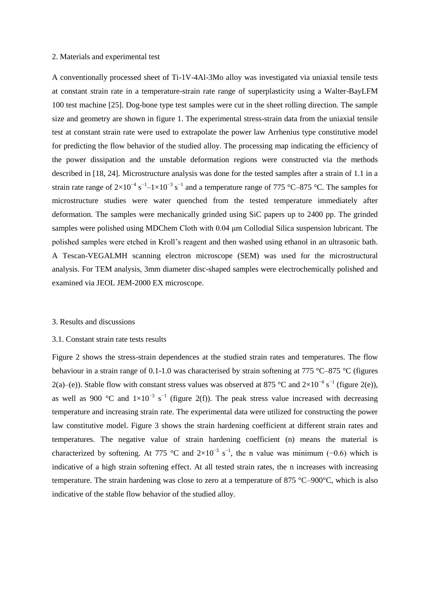#### 2. Materials and experimental test

A conventionally processed sheet of Ti-1V-4Al-3Mo alloy was investigated via uniaxial tensile tests at constant strain rate in a temperature-strain rate range of superplasticity using a Walter-BayLFM 100 test machine [25]. Dog-bone type test samples were cut in the sheet rolling direction. The sample size and geometry are shown in figure 1. The experimental stress-strain data from the uniaxial tensile test at constant strain rate were used to extrapolate the power law Arrhenius type constitutive model for predicting the flow behavior of the studied alloy. The processing map indicating the efficiency of the power dissipation and the unstable deformation regions were constructed via the methods described in [18, 24]. Microstructure analysis was done for the tested samples after a strain of 1.1 in a strain rate range of  $2\times10^{-4}$  s<sup>-1</sup> $-1\times10^{-3}$  s<sup>-1</sup> and a temperature range of 775 °C–875 °C. The samples for microstructure studies were water quenched from the tested temperature immediately after deformation. The samples were mechanically grinded using SiC papers up to 2400 pp. The grinded samples were polished using MDChem Cloth with 0.04 μm Collodial Silica suspension lubricant. The polished samples were etched in Kroll's reagent and then washed using ethanol in an ultrasonic bath. A Tescan-VEGALMH scanning electron microscope (SEM) was used for the microstructural analysis. For TEM analysis, 3mm diameter disc-shaped samples were electrochemically polished and examined via JEOL JEM-2000 EX microscope.

#### 3. Results and discussions

#### 3.1. Constant strain rate tests results

Figure 2 shows the stress-strain dependences at the studied strain rates and temperatures. The flow behaviour in a strain range of 0.1-1.0 was characterised by strain softening at 775 °C–875 °C (figures 2(a)–(e)). Stable flow with constant stress values was observed at 875 °C and  $2\times10^{-4}$  s<sup>-1</sup> (figure 2(e)), as well as 900 °C and  $1\times10^{-3}$  s<sup>-1</sup> (figure 2(f)). The peak stress value increased with decreasing temperature and increasing strain rate. The experimental data were utilized for constructing the power law constitutive model. Figure 3 shows the strain hardening coefficient at different strain rates and temperatures. The negative value of strain hardening coefficient (n) means the material is characterized by softening. At 775 °C and  $2\times10^{-3}$  s<sup>-1</sup>, the n value was minimum (-0.6) which is indicative of a high strain softening effect. At all tested strain rates, the n increases with increasing temperature. The strain hardening was close to zero at a temperature of 875 °C–900°C, which is also indicative of the stable flow behavior of the studied alloy.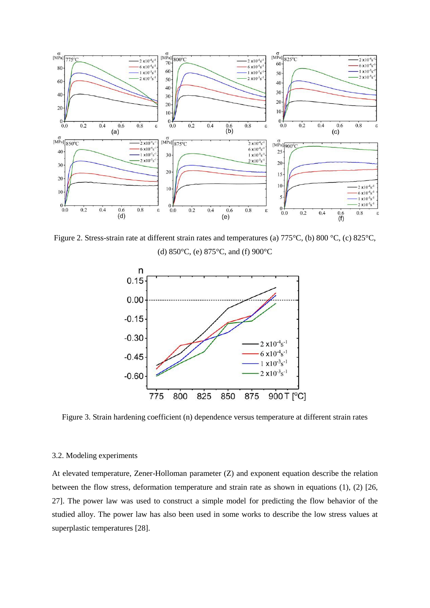

Figure 2. Stress-strain rate at different strain rates and temperatures (a) 775°C, (b) 800 °C, (c) 825°C, (d) 850°C, (e) 875°C, and (f) 900°C



Figure 3. Strain hardening coefficient (n) dependence versus temperature at different strain rates

# 3.2. Modeling experiments

At elevated temperature, Zener-Holloman parameter (Z) and exponent equation describe the relation between the flow stress, deformation temperature and strain rate as shown in equations (1), (2) [26, 27]. The power law was used to construct a simple model for predicting the flow behavior of the studied alloy. The power law has also been used in some works to describe the low stress values at superplastic temperatures [28].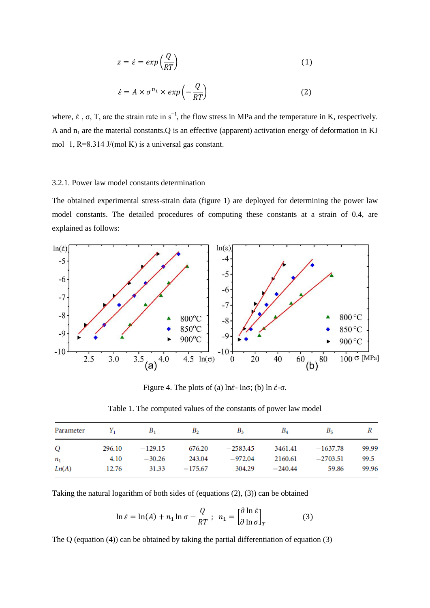$$
z = \dot{\varepsilon} = \exp\left(\frac{Q}{RT}\right) \tag{1}
$$

$$
\dot{\varepsilon} = A \times \sigma^{n_1} \times \exp\left(-\frac{Q}{RT}\right) \tag{2}
$$

where,  $\dot{\varepsilon}$ ,  $\sigma$ , T, are the strain rate in s<sup>-1</sup>, the flow stress in MPa and the temperature in K, respectively. A and  $n_1$  are the material constants.Q is an effective (apparent) activation energy of deformation in KJ mol−1, R=8.314 J/(mol K) is a universal gas constant.

# 3.2.1. Power law model constants determination

The obtained experimental stress-strain data (figure 1) are deployed for determining the power law model constants. The detailed procedures of computing these constants at a strain of 0.4, are explained as follows:



Figure 4. The plots of (a) ln $\dot{\varepsilon}$ - lnσ; (b) ln  $\dot{\varepsilon}$ -σ.

|  |  |  | Table 1. The computed values of the constants of power law model |  |  |  |  |
|--|--|--|------------------------------------------------------------------|--|--|--|--|
|--|--|--|------------------------------------------------------------------|--|--|--|--|

| Parameter | Υ,     | $B_1$     | B <sub>2</sub> | $B_{3}$    | $B_{4}$   | $B_{\le}$  |       |
|-----------|--------|-----------|----------------|------------|-----------|------------|-------|
| Q         | 296.10 | $-129.15$ | 676.20         | $-2583.45$ | 3461.41   | $-1637.78$ | 99.99 |
| $n_1$     | 4.10   | $-30.26$  | 243.04         | $-972.04$  | 2160.61   | $-2703.51$ | 99.5  |
| Ln(A)     | 12.76  | 31.33     | $-175.67$      | 304.29     | $-240.44$ | 59.86      | 99.96 |

Taking the natural logarithm of both sides of (equations (2), (3)) can be obtained

$$
\ln \dot{\varepsilon} = \ln(A) + n_1 \ln \sigma - \frac{Q}{RT} \; ; \; n_1 = \left[ \frac{\partial \ln \dot{\varepsilon}}{\partial \ln \sigma} \right]_T \tag{3}
$$

The Q (equation (4)) can be obtained by taking the partial differentiation of equation (3)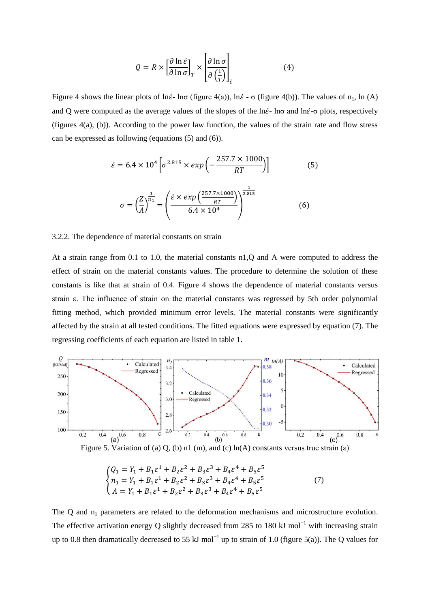$$
Q = R \times \left[\frac{\partial \ln \dot{\varepsilon}}{\partial \ln \sigma}\right]_T \times \left[\frac{\partial \ln \sigma}{\partial \left(\frac{1}{T}\right)}\right]_{\dot{\varepsilon}} \tag{4}
$$

Figure 4 shows the linear plots of lnέ-lnσ (figure 4(a)), lnέ-σ (figure 4(b)). The values of n<sub>1</sub>, ln (A) and Q were computed as the average values of the slopes of the ln $\epsilon$ - lno and ln $\epsilon$ - $\sigma$  plots, respectively (figures 4(a), (b)). According to the power law function, the values of the strain rate and flow stress can be expressed as following (equations (5) and (6)).

$$
\dot{\varepsilon} = 6.4 \times 10^4 \left[ \sigma^{2.815} \times \exp\left(-\frac{257.7 \times 1000}{RT}\right) \right] \tag{5}
$$

$$
\sigma = \left(\frac{Z}{A}\right)^{\frac{1}{n_1}} = \left(\frac{\dot{\varepsilon} \times \exp\left(\frac{257.7 \times 1000}{RT}\right)}{6.4 \times 10^4}\right)^{\frac{1}{2.815}}
$$
(6)

#### 3.2.2. The dependence of material constants on strain

At a strain range from 0.1 to 1.0, the material constants n1,Q and A were computed to address the effect of strain on the material constants values. The procedure to determine the solution of these constants is like that at strain of 0.4. Figure 4 shows the dependence of material constants versus strain ε. The influence of strain on the material constants was regressed by 5th order polynomial fitting method, which provided minimum error levels. The material constants were significantly affected by the strain at all tested conditions. The fitted equations were expressed by equation (7). The regressing coefficients of each equation are listed in table 1.





$$
\begin{cases} Q_1 = Y_1 + B_1 \varepsilon^1 + B_2 \varepsilon^2 + B_3 \varepsilon^3 + B_4 \varepsilon^4 + B_5 \varepsilon^5 \\ n_1 = Y_1 + B_1 \varepsilon^1 + B_2 \varepsilon^2 + B_3 \varepsilon^3 + B_4 \varepsilon^4 + B_5 \varepsilon^5 \\ A = Y_1 + B_1 \varepsilon^1 + B_2 \varepsilon^2 + B_3 \varepsilon^3 + B_4 \varepsilon^4 + B_5 \varepsilon^5 \end{cases} \tag{7}
$$

The Q and  $n_1$  parameters are related to the deformation mechanisms and microstructure evolution. The effective activation energy Q slightly decreased from 285 to 180 kJ mol<sup>-1</sup> with increasing strain up to 0.8 then dramatically decreased to 55 kJ mol<sup>-1</sup> up to strain of 1.0 (figure 5(a)). The Q values for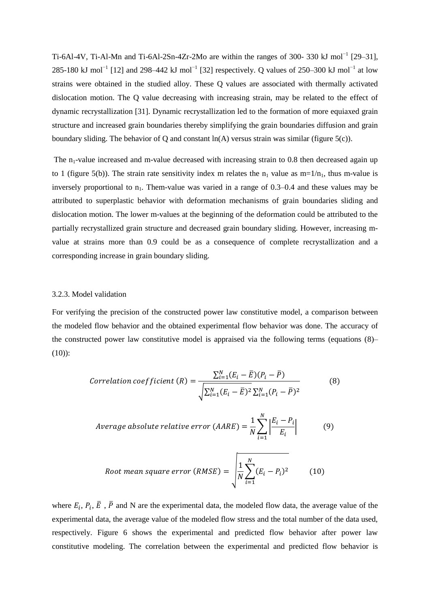Ti-6Al-4V, Ti-Al-Mn and Ti-6Al-2Sn-4Zr-2Mo are within the ranges of 300- 330 kJ mol<sup>-1</sup> [29–31], 285-180 kJ mol<sup>-1</sup> [12] and 298–442 kJ mol<sup>-1</sup> [32] respectively. Q values of 250–300 kJ mol<sup>-1</sup> at low strains were obtained in the studied alloy. These Q values are associated with thermally activated dislocation motion. The Q value decreasing with increasing strain, may be related to the effect of dynamic recrystallization [31]. Dynamic recrystallization led to the formation of more equiaxed grain structure and increased grain boundaries thereby simplifying the grain boundaries diffusion and grain boundary sliding. The behavior of Q and constant ln(A) versus strain was similar (figure 5(c)).

The  $n_1$ -value increased and m-value decreased with increasing strain to 0.8 then decreased again up to 1 (figure 5(b)). The strain rate sensitivity index m relates the  $n_1$  value as  $m=1/n_1$ , thus m-value is inversely proportional to  $n_1$ . Them-value was varied in a range of 0.3–0.4 and these values may be attributed to superplastic behavior with deformation mechanisms of grain boundaries sliding and dislocation motion. The lower m-values at the beginning of the deformation could be attributed to the partially recrystallized grain structure and decreased grain boundary sliding. However, increasing mvalue at strains more than 0.9 could be as a consequence of complete recrystallization and a corresponding increase in grain boundary sliding.

# 3.2.3. Model validation

For verifying the precision of the constructed power law constitutive model, a comparison between the modeled flow behavior and the obtained experimental flow behavior was done. The accuracy of the constructed power law constitutive model is appraised via the following terms (equations (8)–  $(10)$ :

Correlation coefficient (R) = 
$$
\frac{\sum_{i=1}^{N} (E_i - \overline{E})(P_i - \overline{P})}{\sqrt{\sum_{i=1}^{N} (E_i - \overline{E})^2 \sum_{i=1}^{N} (P_i - \overline{P})^2}}
$$
(8)

$$
Average absolute relative error (AARE) = \frac{1}{N} \sum_{i=1}^{N} \left| \frac{E_i - P_i}{E_i} \right|
$$
 (9)

Root mean square error (RMSE) = 
$$
\sqrt{\frac{1}{N} \sum_{i=1}^{N} (E_i - P_i)^2}
$$
 (10)

where  $E_i$ ,  $P_i$ ,  $\bar{E}$ ,  $\bar{P}$  and N are the experimental data, the modeled flow data, the average value of the experimental data, the average value of the modeled flow stress and the total number of the data used, respectively. Figure 6 shows the experimental and predicted flow behavior after power law constitutive modeling. The correlation between the experimental and predicted flow behavior is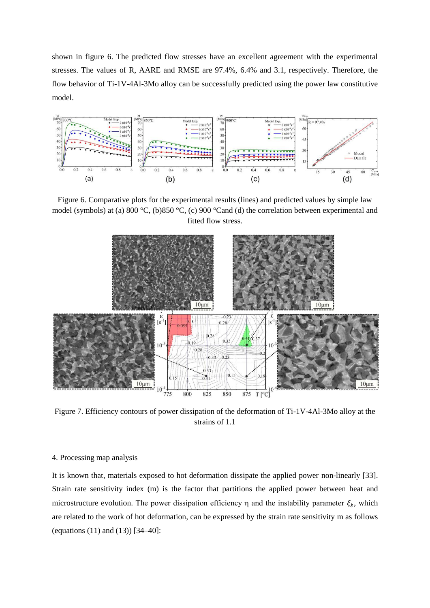shown in figure 6. The predicted flow stresses have an excellent agreement with the experimental stresses. The values of R, AARE and RMSE are 97.4%, 6.4% and 3.1, respectively. Therefore, the flow behavior of Ti-1V-4Al-3Mo alloy can be successfully predicted using the power law constitutive model.



Figure 6. Comparative plots for the experimental results (lines) and predicted values by simple law model (symbols) at (a) 800 °C, (b)850 °C, (c) 900 °Cand (d) the correlation between experimental and fitted flow stress.



Figure 7. Efficiency contours of power dissipation of the deformation of Ti-1V-4Al-3Mo alloy at the strains of 1.1

# 4. Processing map analysis

It is known that, materials exposed to hot deformation dissipate the applied power non-linearly [33]. Strain rate sensitivity index (m) is the factor that partitions the applied power between heat and microstructure evolution. The power dissipation efficiency  $\eta$  and the instability parameter  $\xi_{\hat{\epsilon}}$ , which are related to the work of hot deformation, can be expressed by the strain rate sensitivity m as follows (equations (11) and (13)) [34–40]: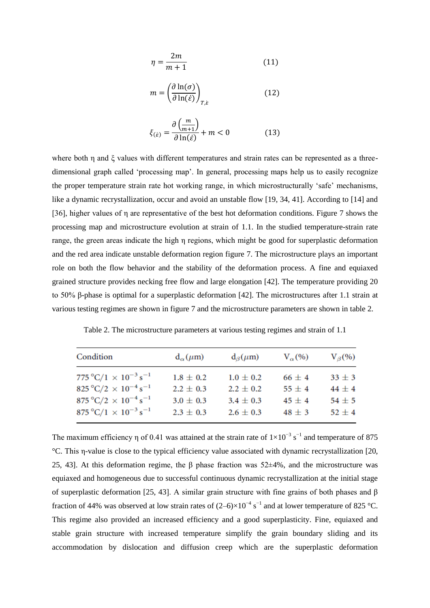$$
\eta = \frac{2m}{m+1} \tag{11}
$$

$$
m = \left(\frac{\partial \ln(\sigma)}{\partial \ln(\dot{\varepsilon})}\right)_{T,\dot{\varepsilon}}
$$
(12)

$$
\xi_{(\varepsilon)} = \frac{\partial \left(\frac{m}{m+1}\right)}{\partial \ln(\varepsilon)} + m < 0 \tag{13}
$$

where both η and ξ values with different temperatures and strain rates can be represented as a threedimensional graph called 'processing map'. In general, processing maps help us to easily recognize the proper temperature strain rate hot working range, in which microstructurally 'safe' mechanisms, like a dynamic recrystallization, occur and avoid an unstable flow [19, 34, 41]. According to [14] and [36], higher values of η are representative of the best hot deformation conditions. Figure 7 shows the processing map and microstructure evolution at strain of 1.1. In the studied temperature-strain rate range, the green areas indicate the high η regions, which might be good for superplastic deformation and the red area indicate unstable deformation region figure 7. The microstructure plays an important role on both the flow behavior and the stability of the deformation process. A fine and equiaxed grained structure provides necking free flow and large elongation [42]. The temperature providing 20 to 50% β-phase is optimal for a superplastic deformation [42]. The microstructures after 1.1 strain at various testing regimes are shown in figure 7 and the microstructure parameters are shown in table 2.

Table 2. The microstructure parameters at various testing regimes and strain of 1.1

| Condition                                            | $d_{\alpha}(\mu m)$ | $d_{\beta}(\mu m)$ | $V_{\alpha}(\% )$ | $V_{\beta}(\%)$ |
|------------------------------------------------------|---------------------|--------------------|-------------------|-----------------|
| $775\text{ °C}/1\times10^{-3}\text{ s}^{-1}$         | $1.8 \pm 0.2$       | $1.0 \pm 0.2$      | $66 \pm 4$        | $33 \pm 3$      |
| $825\text{ °C}/2\times10^{-4}\text{ s}^{-1}$         | $2.2 \pm 0.3$       | $2.2 \pm 0.2$      | $55 \pm 4$        | $44 \pm 4$      |
| 875 °C/2 $\times$ 10 <sup>-4</sup> s <sup>-1</sup>   | $3.0 \pm 0.3$       | $3.4 \pm 0.3$      | $45 \pm 4$        | $54 \pm 5$      |
| $875\,\mathrm{^o C}/1\times10^{-3}\,\mathrm{s}^{-1}$ | $2.3 \pm 0.3$       | $2.6 + 0.3$        | $48 \pm 3$        | $52 \pm 4$      |

The maximum efficiency  $\eta$  of 0.41 was attained at the strain rate of  $1 \times 10^{-3}$  s<sup>-1</sup> and temperature of 875 °C. This η-value is close to the typical efficiency value associated with dynamic recrystallization [20, 25, 43]. At this deformation regime, the β phase fraction was 52±4%, and the microstructure was equiaxed and homogeneous due to successful continuous dynamic recrystallization at the initial stage of superplastic deformation [25, 43]. A similar grain structure with fine grains of both phases and β fraction of 44% was observed at low strain rates of  $(2-6)\times10^{-4}$  s<sup>-1</sup> and at lower temperature of 825 °C. This regime also provided an increased efficiency and a good superplasticity. Fine, equiaxed and stable grain structure with increased temperature simplify the grain boundary sliding and its accommodation by dislocation and diffusion creep which are the superplastic deformation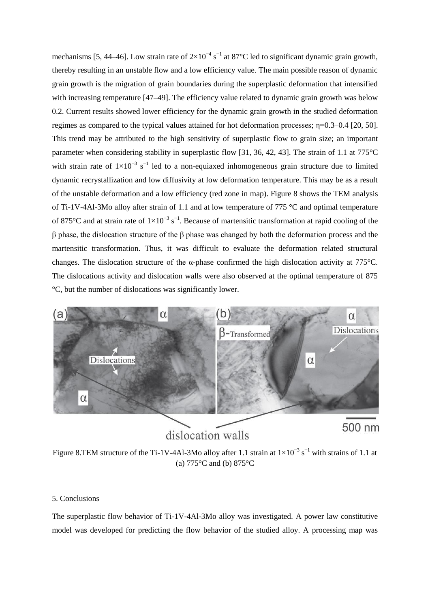mechanisms [5, 44–46]. Low strain rate of  $2\times10^{-4}$  s<sup>-1</sup> at 87°C led to significant dynamic grain growth, thereby resulting in an unstable flow and a low efficiency value. The main possible reason of dynamic grain growth is the migration of grain boundaries during the superplastic deformation that intensified with increasing temperature [47–49]. The efficiency value related to dynamic grain growth was below 0.2. Current results showed lower efficiency for the dynamic grain growth in the studied deformation regimes as compared to the typical values attained for hot deformation processes; η=0.3–0.4 [20, 50]. This trend may be attributed to the high sensitivity of superplastic flow to grain size; an important parameter when considering stability in superplastic flow [31, 36, 42, 43]. The strain of 1.1 at 775°C with strain rate of  $1\times10^{-3}$  s<sup>-1</sup> led to a non-equiaxed inhomogeneous grain structure due to limited dynamic recrystallization and low diffusivity at low deformation temperature. This may be as a result of the unstable deformation and a low efficiency (red zone in map). Figure 8 shows the TEM analysis of Ti-1V-4Al-3Mo alloy after strain of 1.1 and at low temperature of 775 °C and optimal temperature of 875°C and at strain rate of  $1 \times 10^{-3}$  s<sup>-1</sup>. Because of martensitic transformation at rapid cooling of the β phase, the dislocation structure of the β phase was changed by both the deformation process and the martensitic transformation. Thus, it was difficult to evaluate the deformation related structural changes. The dislocation structure of the α-phase confirmed the high dislocation activity at 775°C. The dislocations activity and dislocation walls were also observed at the optimal temperature of 875 °C, but the number of dislocations was significantly lower.



Figure 8.TEM structure of the Ti-1V-4Al-3Mo alloy after 1.1 strain at  $1\times10^{-3}$  s<sup>-1</sup> with strains of 1.1 at (a) 775°C and (b) 875°C

# 5. Conclusions

The superplastic flow behavior of Ti-1V-4Al-3Mo alloy was investigated. A power law constitutive model was developed for predicting the flow behavior of the studied alloy. A processing map was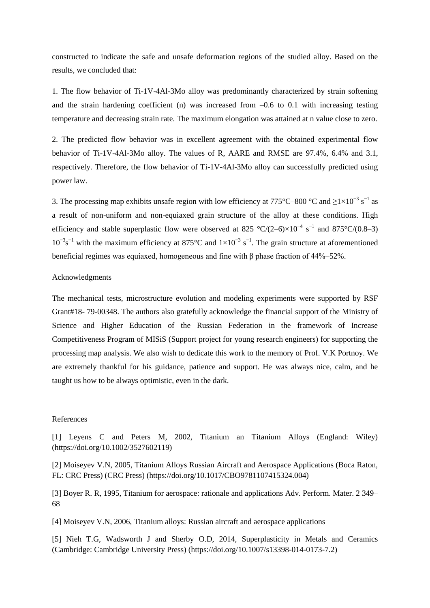constructed to indicate the safe and unsafe deformation regions of the studied alloy. Based on the results, we concluded that:

1. The flow behavior of Ti-1V-4Al-3Mo alloy was predominantly characterized by strain softening and the strain hardening coefficient (n) was increased from  $-0.6$  to 0.1 with increasing testing temperature and decreasing strain rate. The maximum elongation was attained at n value close to zero.

2. The predicted flow behavior was in excellent agreement with the obtained experimental flow behavior of Ti-1V-4Al-3Mo alloy. The values of R, AARE and RMSE are 97.4%, 6.4% and 3.1, respectively. Therefore, the flow behavior of Ti-1V-4Al-3Mo alloy can successfully predicted using power law.

3. The processing map exhibits unsafe region with low efficiency at 775°C–800 °C and ≥1×10<sup>-3</sup> s<sup>-1</sup> as a result of non-uniform and non-equiaxed grain structure of the alloy at these conditions. High efficiency and stable superplastic flow were observed at 825 °C/(2–6)×10<sup>-4</sup> s<sup>-1</sup> and 875°C/(0.8–3)  $10^{-3}s^{-1}$  with the maximum efficiency at 875°C and  $1\times10^{-3}$  s<sup>-1</sup>. The grain structure at aforementioned beneficial regimes was equiaxed, homogeneous and fine with β phase fraction of 44%–52%.

# Acknowledgments

The mechanical tests, microstructure evolution and modeling experiments were supported by RSF Grant#18- 79-00348. The authors also gratefully acknowledge the financial support of the Ministry of Science and Higher Education of the Russian Federation in the framework of Increase Competitiveness Program of MISiS (Support project for young research engineers) for supporting the processing map analysis. We also wish to dedicate this work to the memory of Prof. V.K Portnoy. We are extremely thankful for his guidance, patience and support. He was always nice, calm, and he taught us how to be always optimistic, even in the dark.

## References

[1] Leyens C and Peters M, 2002, Titanium an Titanium Alloys (England: Wiley) (https://doi.org/10.1002/3527602119)

[2] Moiseyev V.N, 2005, Titanium Alloys Russian Aircraft and Aerospace Applications (Boca Raton, FL: CRC Press) (CRC Press) (https://doi.org/10.1017/CBO9781107415324.004)

[3] Boyer R. R, 1995, Titanium for aerospace: rationale and applications Adv. Perform. Mater. 2 349– 68

[4] Moiseyev V.N, 2006, Titanium alloys: Russian aircraft and aerospace applications

[5] Nieh T.G, Wadsworth J and Sherby O.D, 2014, Superplasticity in Metals and Ceramics (Cambridge: Cambridge University Press) (https://doi.org/10.1007/s13398-014-0173-7.2)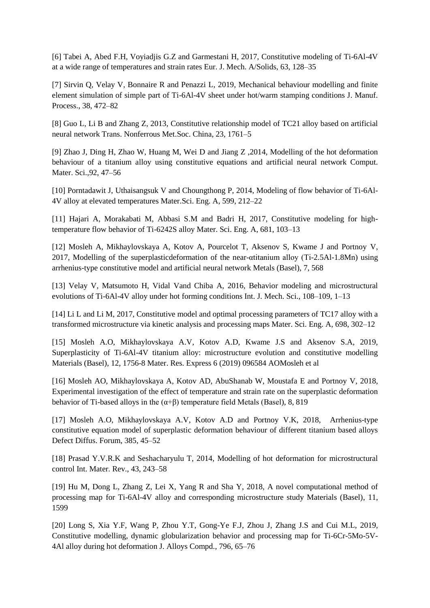[6] Tabei A, Abed F.H, Voyiadjis G.Z and Garmestani H, 2017, Constitutive modeling of Ti-6Al-4V at a wide range of temperatures and strain rates Eur. J. Mech. A/Solids, 63, 128–35

[7] Sirvin Q, Velay V, Bonnaire R and Penazzi L, 2019, Mechanical behaviour modelling and finite element simulation of simple part of Ti-6Al-4V sheet under hot/warm stamping conditions J. Manuf. Process., 38, 472–82

[8] Guo L, Li B and Zhang Z, 2013, Constitutive relationship model of TC21 alloy based on artificial neural network Trans. Nonferrous Met.Soc. China, 23, 1761–5

[9] Zhao J, Ding H, Zhao W, Huang M, Wei D and Jiang Z ,2014, Modelling of the hot deformation behaviour of a titanium alloy using constitutive equations and artificial neural network Comput. Mater. Sci.,92, 47–56

[10] Porntadawit J, Uthaisangsuk V and Choungthong P, 2014, Modeling of flow behavior of Ti-6Al-4V alloy at elevated temperatures Mater.Sci. Eng. A, 599, 212–22

[11] Hajari A, Morakabati M, Abbasi S.M and Badri H, 2017, Constitutive modeling for hightemperature flow behavior of Ti-6242S alloy Mater. Sci. Eng. A, 681, 103–13

[12] Mosleh A, Mikhaylovskaya A, Kotov A, Pourcelot T, Aksenov S, Kwame J and Portnoy V, 2017, Modelling of the superplasticdeformation of the near-αtitanium alloy (Ti-2.5Al-1.8Mn) using arrhenius-type constitutive model and artificial neural network Metals (Basel), 7, 568

[13] Velay V, Matsumoto H, Vidal Vand Chiba A, 2016, Behavior modeling and microstructural evolutions of Ti-6Al-4V alloy under hot forming conditions Int. J. Mech. Sci., 108–109, 1–13

[14] Li L and Li M, 2017, Constitutive model and optimal processing parameters of TC17 alloy with a transformed microstructure via kinetic analysis and processing maps Mater. Sci. Eng. A, 698, 302–12

[15] Mosleh A.O, Mikhaylovskaya A.V, Kotov A.D, Kwame J.S and Aksenov S.A, 2019, Superplasticity of Ti-6Al-4V titanium alloy: microstructure evolution and constitutive modelling Materials (Basel), 12, 1756-8 Mater. Res. Express 6 (2019) 096584 AOMosleh et al

[16] Mosleh AO, Mikhaylovskaya A, Kotov AD, AbuShanab W, Moustafa E and Portnoy V, 2018, Experimental investigation of the effect of temperature and strain rate on the superplastic deformation behavior of Ti-based alloys in the  $(\alpha + \beta)$  temperature field Metals (Basel), 8, 819

[17] Mosleh A.O, Mikhaylovskaya A.V, Kotov A.D and Portnoy V.K, 2018, Arrhenius-type constitutive equation model of superplastic deformation behaviour of different titanium based alloys Defect Diffus. Forum, 385, 45–52

[18] Prasad Y.V.R.K and Seshacharyulu T, 2014, Modelling of hot deformation for microstructural control Int. Mater. Rev., 43, 243–58

[19] Hu M, Dong L, Zhang Z, Lei X, Yang R and Sha Y, 2018, A novel computational method of processing map for Ti-6Al-4V alloy and corresponding microstructure study Materials (Basel), 11, 1599

[20] Long S, Xia Y.F, Wang P, Zhou Y.T, Gong-Ye F.J, Zhou J, Zhang J.S and Cui M.L, 2019, Constitutive modelling, dynamic globularization behavior and processing map for Ti-6Cr-5Mo-5V-4Al alloy during hot deformation J. Alloys Compd., 796, 65–76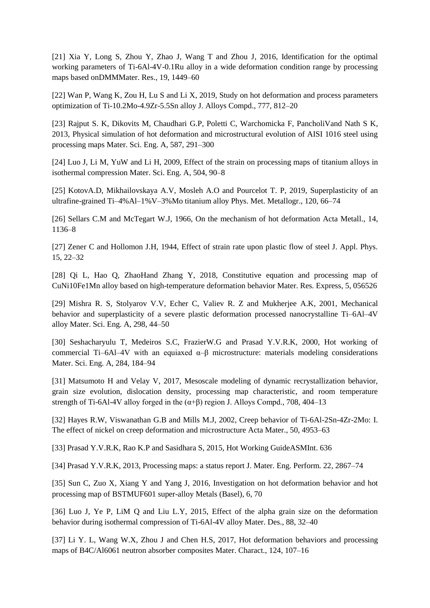[21] Xia Y, Long S, Zhou Y, Zhao J, Wang T and Zhou J, 2016, Identification for the optimal working parameters of Ti-6Al-4V-0.1Ru alloy in a wide deformation condition range by processing maps based onDMMMater. Res., 19, 1449–60

[22] Wan P, Wang K, Zou H, Lu S and Li X, 2019, Study on hot deformation and process parameters optimization of Ti-10.2Mo-4.9Zr-5.5Sn alloy J. Alloys Compd., 777, 812–20

[23] Rajput S. K, Dikovits M, Chaudhari G.P, Poletti C, Warchomicka F, PancholiVand Nath S K, 2013, Physical simulation of hot deformation and microstructural evolution of AISI 1016 steel using processing maps Mater. Sci. Eng. A, 587, 291–300

[24] Luo J, Li M, YuW and Li H, 2009, Effect of the strain on processing maps of titanium alloys in isothermal compression Mater. Sci. Eng. A, 504, 90–8

[25] KotovA.D, Mikhailovskaya A.V, Mosleh A.O and Pourcelot T. P, 2019, Superplasticity of an ultrafine-grained Ti–4%Al–1%V–3%Mo titanium alloy Phys. Met. Metallogr., 120, 66–74

[26] Sellars C.M and McTegart W.J, 1966, On the mechanism of hot deformation Acta Metall., 14, 1136–8

[27] Zener C and Hollomon J.H, 1944, Effect of strain rate upon plastic flow of steel J. Appl. Phys. 15, 22–32

[28] Qi L, Hao Q, ZhaoHand Zhang Y, 2018, Constitutive equation and processing map of CuNi10Fe1Mn alloy based on high-temperature deformation behavior Mater. Res. Express, 5, 056526

[29] Mishra R. S, Stolyarov V.V, Echer C, Valiev R. Z and Mukherjee A.K, 2001, Mechanical behavior and superplasticity of a severe plastic deformation processed nanocrystalline Ti–6Al–4V alloy Mater. Sci. Eng. A, 298, 44–50

[30] Seshacharyulu T, Medeiros S.C, FrazierW.G and Prasad Y.V.R.K, 2000, Hot working of commercial Ti–6Al–4V with an equiaxed  $\alpha$ –β microstructure: materials modeling considerations Mater. Sci. Eng. A, 284, 184–94

[31] Matsumoto H and Velay V, 2017, Mesoscale modeling of dynamic recrystallization behavior, grain size evolution, dislocation density, processing map characteristic, and room temperature strength of Ti-6Al-4V alloy forged in the  $(\alpha + \beta)$  region J. Alloys Compd., 708, 404–13

[32] Hayes R.W, Viswanathan G.B and Mills M.J, 2002, Creep behavior of Ti-6Al-2Sn-4Zr-2Mo: I. The effect of nickel on creep deformation and microstructure Acta Mater., 50, 4953–63

[33] Prasad Y.V.R.K, Rao K.P and Sasidhara S, 2015, Hot Working GuideASMInt. 636

[34] Prasad Y.V.R.K, 2013, Processing maps: a status report J. Mater. Eng. Perform. 22, 2867–74

[35] Sun C, Zuo X, Xiang Y and Yang J, 2016, Investigation on hot deformation behavior and hot processing map of BSTMUF601 super-alloy Metals (Basel), 6, 70

[36] Luo J, Ye P, LiM Q and Liu L.Y, 2015, Effect of the alpha grain size on the deformation behavior during isothermal compression of Ti-6Al-4V alloy Mater. Des., 88, 32–40

[37] Li Y. L, Wang W.X, Zhou J and Chen H.S, 2017, Hot deformation behaviors and processing maps of B4C/Al6061 neutron absorber composites Mater. Charact., 124, 107–16